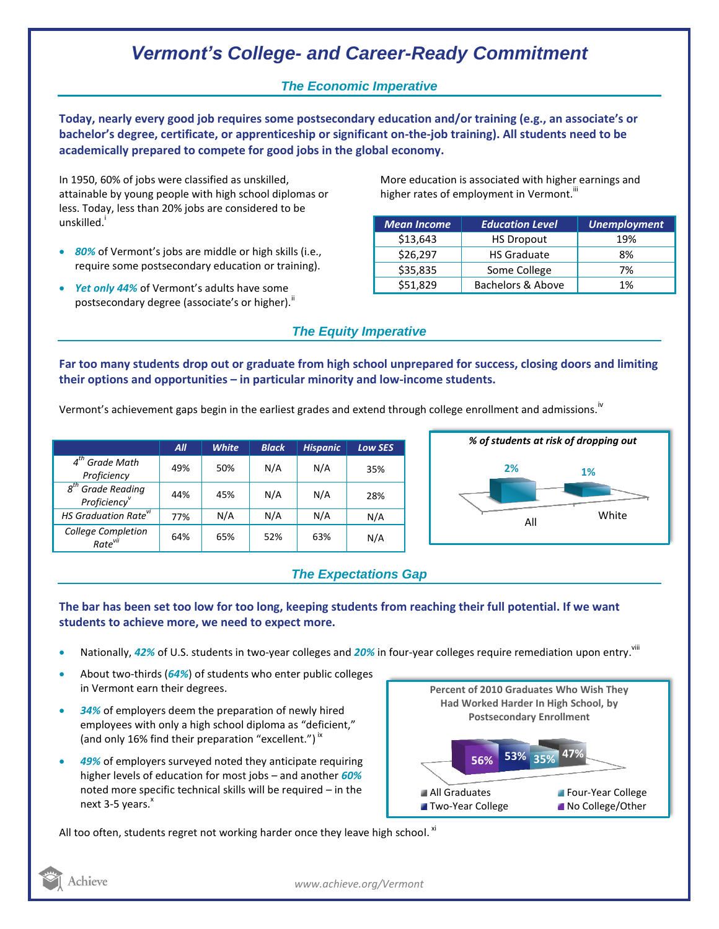# *Vermont's College- and Career-Ready Commitment*

### *The Economic Imperative*

**Today, nearly every good job requires some postsecondary education and/or training (e.g., an associate's or bachelor's degree, certificate, or apprenticeship or significant on-the-job training). All students need to be academically prepared to compete for good jobs in the global economy.**

In 1950, 60% of jobs were classified as unskilled, attainable by young people with high school diplomas or less. Today, less than 20% jobs are considered to be unskilled.<sup>1</sup>

- *80%* of Vermont's jobs are middle or high skills (i.e., require some postsecondary education or training).
- *Yet only 44%* of Vermont's adults have some postsecondary degree (associate's or higher).

More education is associated with higher earnings and higher rates of employment in Vermont.<sup>""</sup>

| <b>Mean Income</b> | <b>Education Level</b> | <b>Unemployment</b> |
|--------------------|------------------------|---------------------|
| \$13,643           | <b>HS Dropout</b>      | 19%                 |
| \$26,297           | <b>HS Graduate</b>     | 8%                  |
| \$35,835           | Some College           | 7%                  |
| \$51,829           | Bachelors & Above      | 1%                  |

## *The Equity Imperative*

**Far too many students drop out or graduate from high school unprepared for success, closing doors and limiting their options and opportunities – in particular minority and low-income students.** 

Vermont's achievement gaps begin in the earliest grades and extend through college enrollment and admissions.<sup>iv</sup>

|                                              | All | <b>White</b> | <b>Black</b> | <b>Hispanic</b> | <b>Low SES</b> |
|----------------------------------------------|-----|--------------|--------------|-----------------|----------------|
| $4th$ Grade Math<br>Proficiency              | 49% | 50%          | N/A          | N/A             | 35%            |
| 8 <sup>th</sup> Grade Reading<br>Proficiency | 44% | 45%          | N/A          | N/A             | 28%            |
| HS Graduation Rate <sup>vi</sup>             | 77% | N/A          | N/A          | N/A             | N/A            |
| College Completion<br>Rate <sup>vii</sup>    | 64% | 65%          | 52%          | 63%             | N/A            |



## *The Expectations Gap*

### **The bar has been set too low for too long, keeping students from reaching their full potential. If we want students to achieve more, we need to expect more.**

- Nationally, 42% of U.S. students in two-year colleges and 20% in four-year colleges require remediation upon entry. <sup>viii</sup>
- About two-thirds (*64%*) of students who enter public colleges in Vermont earn their degrees.
- *34%* of employers deem the preparation of newly hired employees with only a high school diploma as "deficient," (and only 16% find their preparation "excellent.")<sup>ix</sup>
- *49%* of employers surveyed noted they anticipate requiring higher levels of education for most jobs – and another *60%* noted more specific technical skills will be required – in the next 3-5 years.<sup>x</sup>



All too often, students regret not working harder once they leave high school.  $^{\text{xi}}$ 



*www.achieve.org/Vermont*